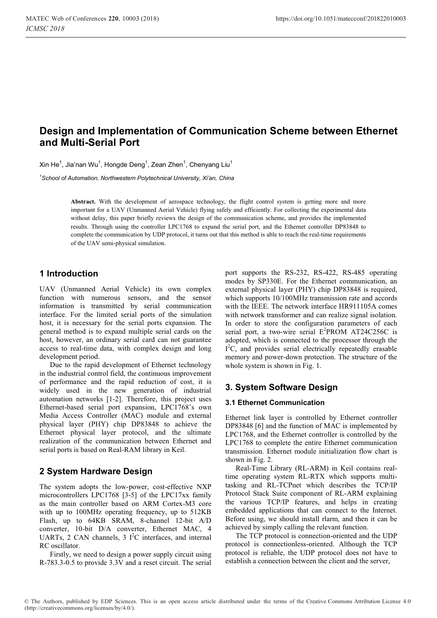# **Design and Implementation of Communication Scheme between Ethernet and Multi-Serial Port**

Xin He $^1$ , Jia'nan Wu $^1$ , Hongde Deng $^1$ , Zean Zhen $^1$ , Chenyang Liu $^1$ 

*1 School of Automation, Northwestern Polytechnical University, Xi'an, China* 

**Abstract.** With the development of aerospace technology, the flight control system is getting more and more important for a UAV (Unmanned Aerial Vehicle) flying safely and efficiently. For collecting the experimental data without delay, this paper briefly reviews the design of the communication scheme, and provides the implemented results. Through using the controller LPC1768 to expand the serial port, and the Ethernet controller DP83848 to complete the communication by UDP protocol, it turns out that this method is able to reach the real-time requirements of the UAV semi-physical simulation.

## **1 Introduction**

UAV (Unmanned Aerial Vehicle) its own complex function with numerous sensors, and the sensor information is transmitted by serial communication interface. For the limited serial ports of the simulation host, it is necessary for the serial ports expansion. The general method is to expand multiple serial cards on the host, however, an ordinary serial card can not guarantee access to real-time data, with complex design and long development period.

Due to the rapid development of Ethernet technology in the industrial control field, the continuous improvement of performance and the rapid reduction of cost, it is widely used in the new generation of industrial automation networks [1-2]. Therefore, this project uses Ethernet-based serial port expansion, LPC1768's own Media Access Controller (MAC) module and external physical layer (PHY) chip DP83848 to achieve the Ethernet physical layer protocol, and the ultimate realization of the communication between Ethernet and serial ports is based on Real-RAM library in Keil.

## **2 System Hardware Design**

The system adopts the low-power, cost-effective NXP microcontrollers LPC1768 [3-5] of the LPC17xx family as the main controller based on ARM Cortex-M3 core with up to 100MHz operating frequency, up to 512KB Flash, up to 64KB SRAM, 8-channel 12-bit A/D converter, 10-bit D/A converter, Ethernet MAC, 4 UARTs, 2 CAN channels, 3  $I^2C$  interfaces, and internal RC oscillator.

Firstly, we need to design a power supply circuit using R-783.3-0.5 to provide 3.3V and a reset circuit. The serial

port supports the RS-232, RS-422, RS-485 operating modes by SP330E. For the Ethernet communication, an external physical layer (PHY) chip DP83848 is required, which supports  $10/100$ MHz transmission rate and accords with the IEEE. The network interface HR911105A comes with network transformer and can realize signal isolation. In order to store the configuration parameters of each serial port, a two-wire serial  $E^2$ PROM AT24C256C is adopted, which is connected to the processor through the I<sup>2</sup>C, and provides serial electrically repeatedly erasable memory and power-down protection. The structure of the whole system is shown in Fig. 1.

## **3. System Software Design**

### **3.1 Ethernet Communication**

Ethernet link layer is controlled by Ethernet controller DP83848 [6] and the function of MAC is implemented by LPC1768, and the Ethernet controller is controlled by the LPC1768 to complete the entire Ethernet communication transmission. Ethernet module initialization flow chart is shown in Fig. 2.

Real-Time Library (RL-ARM) in Keil contains realtime operating system RL-RTX which supports multitasking and RL-TCPnet which describes the TCP/IP Protocol Stack Suite component of RL-ARM explaining the various TCP/IP features, and helps in creating embedded applications that can connect to the Internet. Before using, we should install rlarm, and then it can be achieved by simply calling the relevant function.

The TCP protocol is connection-oriented and the UDP protocol is connectionless-oriented. Although the TCP protocol is reliable, the UDP protocol does not have to establish a connection between the client and the server,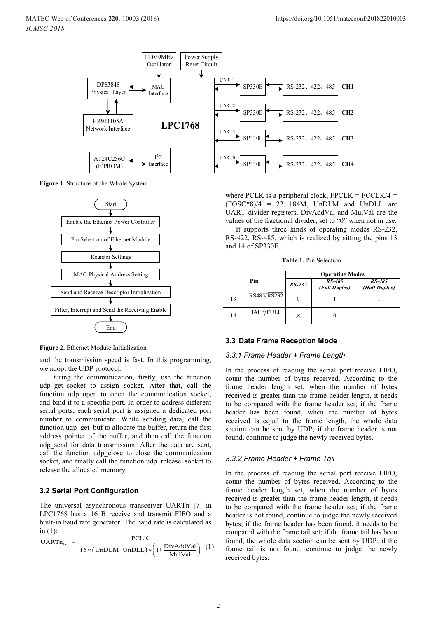

**Figure 1.** Structure of the Whole System



**Figure 2.** Ethernet Module Initialization

and the transmission speed is fast. In this programming, we adopt the UDP protocol.

During the communication, firstly, use the function udp get socket to assign socket. After that, call the function udp\_open to open the communication socket, and bind it to a specific port. In order to address different serial ports, each serial port is assigned a dedicated port number to communicate. While sending data, call the function udp\_get\_buf to allocate the buffer, return the first address pointer of the buffer, and then call the function udp\_send for data transmission. After the data are sent, call the function udp\_close to close the communication socket, and finally call the function udp\_release\_socket to release the allocated memory.

### **3.2 Serial Port Configuration**

The universal asynchronous transceiver UARTn [7] in LPC1768 has a 16 B receive and transmit FIFO and a built-in baud rate generator. The baud rate is calculated as in  $(1)$ :

$$
UARTn_{bd} = \frac{PCLK}{16 \times (UnDLM + UnDLL) \times \left(1 + \frac{DivAddVal}{MulVal}\right)} \quad (1)
$$

where PCLK is a peripheral clock,  $FPCLK = FCCLK/4 =$  $(FOSC*8)/4 = 22.1184M$ , UnDLM and UnDLL are UART divider registers, DivAddVal and MulVal are the values of the fractional divider, set to "0" when not in use.

It supports three kinds of operating modes RS-232, RS-422, RS-485, which is realized by sitting the pins 13 and 14 of SP330E.

**Table 1.** Pin Selection

| Pin |             | <b>Operating Modes</b> |                         |                         |
|-----|-------------|------------------------|-------------------------|-------------------------|
|     |             | $RS-232$               | RS-485<br>(Full Duplex) | RS-485<br>(Half Duplex) |
| 13  | RS485/RS232 |                        |                         |                         |
| 14  | HALF/FULL   | ×                      |                         |                         |

### **3.3 Data Frame Reception Mode**

#### *3.3.1 Frame Header + Frame Length*

In the process of reading the serial port receive FIFO, count the number of bytes received. According to the frame header length set, when the number of bytes received is greater than the frame header length, it needs to be compared with the frame header set; if the frame header has been found, when the number of bytes received is equal to the frame length, the whole data section can be sent by UDP; if the frame header is not found, continue to judge the newly received bytes.

#### *3.3.2 Frame Header + Frame Tail*

In the process of reading the serial port receive FIFO, count the number of bytes received. According to the frame header length set, when the number of bytes received is greater than the frame header length, it needs to be compared with the frame header set; if the frame header is not found, continue to judge the newly received bytes; if the frame header has been found, it needs to be compared with the frame tail set; if the frame tail has been found, the whole data section can be sent by UDP; if the frame tail is not found, continue to judge the newly received bytes.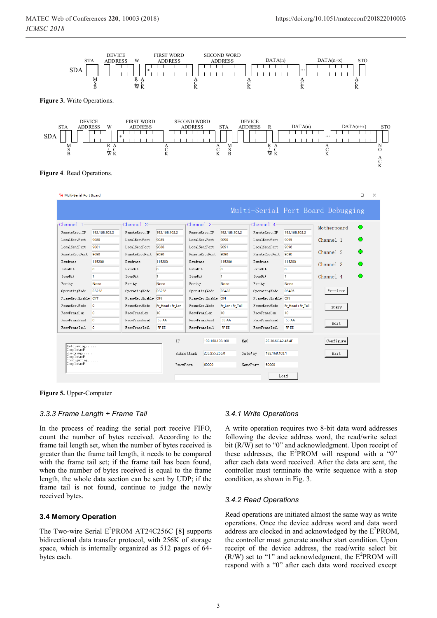

**Figure 5.** Upper-Computer

RecyFrameLen

RecvFrameHead

RecvFrameTail 0

Retrieving......<br>Completed!<br>Querying...... Completed!<br>!uerying......<br>Completed!<br>!onfiguring......<br>Completed!

 $\sqrt{a}$ 

 $\overline{a}$ 

#### *3.3.3 Frame Length + Frame Tail*

In the process of reading the serial port receive FIFO, count the number of bytes received. According to the frame tail length set, when the number of bytes received is greater than the frame tail length, it needs to be compared with the frame tail set; if the frame tail has been found, when the number of bytes received is equal to the frame length, the whole data section can be sent by UDP; if the frame tail is not found, continue to judge the newly received bytes.

RecvFrameLen

RecvFrameHead

RecvFrameTail

 $10$ 

55 AA

FF EI

IP

SubnetMask

RecyPort

RecvFrameLen

RecyFrameHead

RecvFrameTail

 $10$ 

55 AA

FF EE

MAC

GateWay

 $\verb|SendPort|$ 

192.168.103.100

255,255,255.0

60000

### **3.4 Memory Operation**

The Two-wire Serial  $E^2$ PROM AT24C256C [8] supports bidirectional data transfer protocol, with 256K of storage space, which is internally organized as 512 pages of 64 bytes each.

#### *3.4.1 Write Operations*

RecvFrameLen

RecvFrameHead

RecvFrameTail

10

55 AA

FF EI

2E.30.6C.A2.45.4F

Load

192.168.103.1

50000

A write operation requires two 8-bit data word addresses following the device address word, the read/write select bit (R/W) set to "0" and acknowledgment. Upon receipt of these addresses, the  $E^2$ PROM will respond with a "0" after each data word received. After the data are sent, the controller must terminate the write sequence with a stop condition, as shown in Fig. 3.

Query

Edit

Configure

Exit

#### *3.4.2 Read Operations*

Read operations are initiated almost the same way as write operations. Once the device address word and data word address are clocked in and acknowledged by the  $E^2$ PROM, the controller must generate another start condition. Upon receipt of the device address, the read/write select bit  $(R/W)$  set to "1" and acknowledgment, the  $E^2$ PROM will respond with a "0" after each data word received except